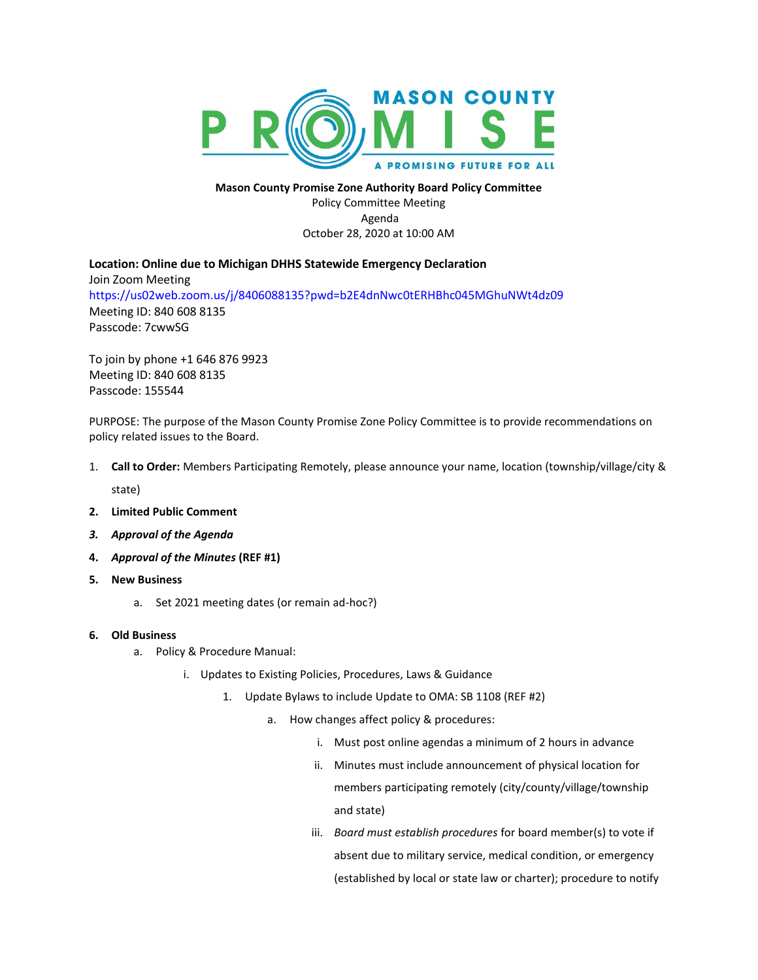

**Mason County Promise Zone Authority Board Policy Committee** Policy Committee Meeting Agenda October 28, 2020 at 10:00 AM

**Location: Online due to Michigan DHHS Statewide Emergency Declaration** Join Zoom Meeting [https://us02web.zoom.us/j/8406088135?pwd=b2E4dnNwc0tERHBhc045MGhuNWt4dz09](https://www.google.com/url?q=https://us02web.zoom.us/j/8406088135?pwd%3Db2E4dnNwc0tERHBhc045MGhuNWt4dz09&sa=D&source=calendar&ust=1603547905007000&usg=AOvVaw3LhBEux0VWt_ecwZW2XkIF) Meeting ID: 840 608 8135 Passcode: 7cwwSG

To join by phone +1 646 876 9923 Meeting ID: 840 608 8135 Passcode: 155544

PURPOSE: The purpose of the Mason County Promise Zone Policy Committee is to provide recommendations on policy related issues to the Board.

- 1. **Call to Order:** Members Participating Remotely, please announce your name, location (township/village/city & state)
- **2. Limited Public Comment**
- *3. Approval of the Agenda*
- **4.** *Approval of the Minutes* **(REF #1)**
- **5. New Business** 
	- a. Set 2021 meeting dates (or remain ad-hoc?)

## **6. Old Business**

- a. Policy & Procedure Manual:
	- i. Updates to Existing Policies, Procedures, Laws & Guidance
		- 1. Update Bylaws to include Update to OMA: SB 1108 (REF #2)
			- a. How changes affect policy & procedures:
				- i. Must post online agendas a minimum of 2 hours in advance
				- ii. Minutes must include announcement of physical location for members participating remotely (city/county/village/township and state)
				- iii. *Board must establish procedures* for board member(s) to vote if absent due to military service, medical condition, or emergency (established by local or state law or charter); procedure to notify